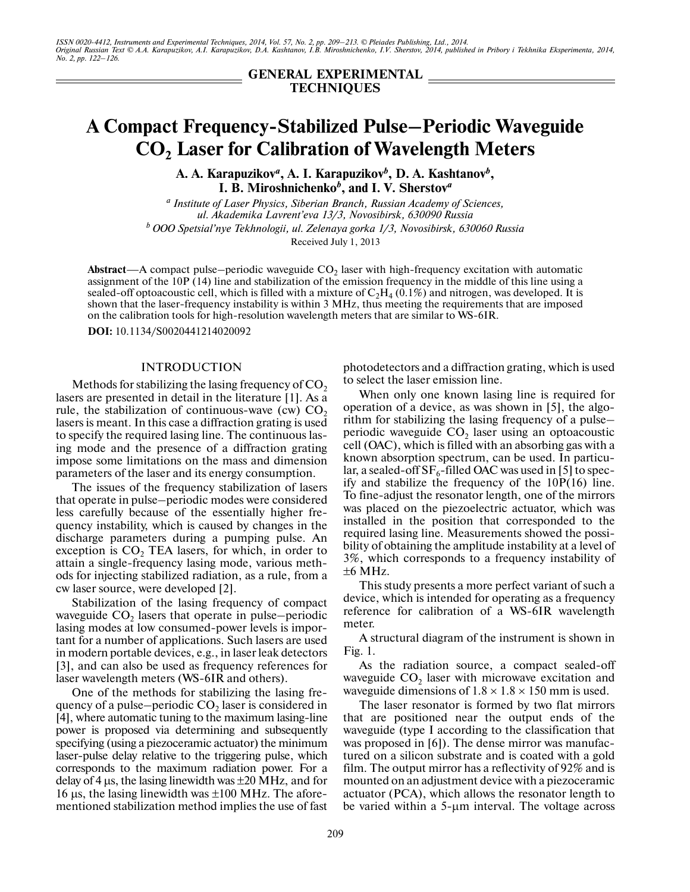**GENERAL EXPERIMENTAL TECHNIQUES**

# **A Compact Frequency-Stabilized Pulse–Periodic Waveguide CO2 Laser for Calibration of Wavelength Meters**

**A. A. Karapuzikov***<sup>a</sup>* **, A. I. Karapuzikov***<sup>b</sup>* **, D. A. Kashtanov***<sup>b</sup>* **, I. B. Miroshnichenko***<sup>b</sup>* **, and I. V. Sherstov***<sup>a</sup>*

*a Institute of Laser Physics, Siberian Branch, Russian Academy of Sciences, ul. Akademika Lavrent'eva 13/3, Novosibirsk, 630090 Russia b OOO Spetsial'nye Tekhnologii, ul. Zelenaya gorka 1/3, Novosibirsk, 630060 Russia* Received July 1, 2013

Abstract—A compact pulse–periodic waveguide  $CO_2$  laser with high-frequency excitation with automatic assignment of the 10P (14) line and stabilization of the emission frequency in the middle of this line using a sealed-off optoacoustic cell, which is filled with a mixture of  $\rm{C_2H_4}$  (0.1%) and nitrogen, was developed. It is shown that the laser-frequency instability is within 3 MHz, thus meeting the requirements that are imposed on the calibration tools for high-resolution wavelength meters that are similar to WS-6IR.

**DOI:** 10.1134/S0020441214020092

#### INTRODUCTION

Methods for stabilizing the lasing frequency of  $CO<sub>2</sub>$ lasers are presented in detail in the literature [1]. As a rule, the stabilization of continuous-wave (cw)  $CO<sub>2</sub>$ lasers is meant. In this case a diffraction grating is used to specify the required lasing line. The continuous las ing mode and the presence of a diffraction grating impose some limitations on the mass and dimension parameters of the laser and its energy consumption.

The issues of the frequency stabilization of lasers that operate in pulse–periodic modes were considered less carefully because of the essentially higher fre quency instability, which is caused by changes in the discharge parameters during a pumping pulse. An exception is  $CO<sub>2</sub>$  TEA lasers, for which, in order to attain a single-frequency lasing mode, various meth ods for injecting stabilized radiation, as a rule, from a cw laser source, were developed [2].

Stabilization of the lasing frequency of compact waveguide  $CO<sub>2</sub>$  lasers that operate in pulse–periodic lasing modes at low consumed-power levels is impor tant for a number of applications. Such lasers are used in modern portable devices, e.g., in laser leak detectors [3], and can also be used as frequency references for laser wavelength meters (WS-6IR and others).

One of the methods for stabilizing the lasing fre quency of a pulse–periodic  $CO<sub>2</sub>$  laser is considered in [4], where automatic tuning to the maximum lasing-line power is proposed via determining and subsequently specifying (using a piezoceramic actuator) the minimum laser-pulse delay relative to the triggering pulse, which corresponds to the maximum radiation power. For a delay of 4 μs, the lasing linewidth was  $\pm 20$  MHz, and for 16 μs, the lasing linewidth was  $±100$  MHz. The aforementioned stabilization method implies the use of fast photodetectors and a diffraction grating, which is used to select the laser emission line.

When only one known lasing line is required for operation of a device, as was shown in [5], the algo rithm for stabilizing the lasing frequency of a pulse– periodic waveguide  $CO<sub>2</sub>$  laser using an optoacoustic cell (OAC), which is filled with an absorbing gas with a known absorption spectrum, can be used. In particu lar, a sealed-off  $SF_6$ -filled OAC was used in [5] to specify and stabilize the frequency of the 10P(16) line. To fine-adjust the resonator length, one of the mirrors was placed on the piezoelectric actuator, which was installed in the position that corresponded to the required lasing line. Measurements showed the possi bility of obtaining the amplitude instability at a level of 3%, which corresponds to a frequency instability of  $±6$  MHz.

This study presents a more perfect variant of such a device, which is intended for operating as a frequency reference for calibration of a WS-6IR wavelength meter.

A structural diagram of the instrument is shown in Fig. 1.

As the radiation source, a compact sealed-off waveguide  $CO<sub>2</sub>$  laser with microwave excitation and waveguide dimensions of  $1.8 \times 1.8 \times 150$  mm is used.

The laser resonator is formed by two flat mirrors that are positioned near the output ends of the waveguide (type I according to the classification that was proposed in [6]). The dense mirror was manufac tured on a silicon substrate and is coated with a gold film. The output mirror has a reflectivity of 92% and is mounted on an adjustment device with a piezoceramic actuator (PCA), which allows the resonator length to be varied within a 5-μm interval. The voltage across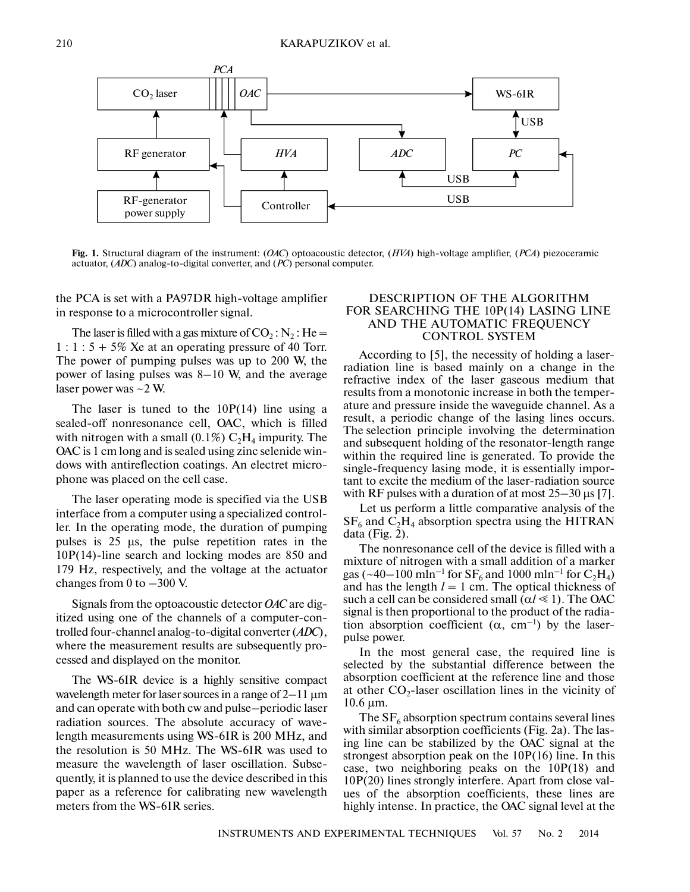

**Fig. 1.** Structural diagram of the instrument: (*OAC*) optoacoustic detector, (*HVA*) high-voltage amplifier, (*PCA*) piezoceramic actuator, (*ADC*) analog-to-digital converter, and (*PC*) personal computer.

the PCA is set with a PA97DR high-voltage amplifier in response to a microcontroller signal.

The laser is filled with a gas mixture of  $CO_2$ : N<sub>2</sub>: He =  $1: 1: 5 + 5\%$  Xe at an operating pressure of 40 Torr. The power of pumping pulses was up to 200 W, the power of lasing pulses was 8–10 W, and the average laser power was ~2 W.

The laser is tuned to the  $10P(14)$  line using a sealed-off nonresonance cell, OAC, which is filled with nitrogen with a small (0.1%)  $C_2H_4$  impurity. The OAC is 1 cm long and is sealed using zinc selenide win dows with antireflection coatings. An electret micro phone was placed on the cell case.

The laser operating mode is specified via the USB interface from a computer using a specialized control ler. In the operating mode, the duration of pumping pulses is 25 μs, the pulse repetition rates in the 10P(14)-line search and locking modes are 850 and 179 Hz, respectively, and the voltage at the actuator changes from 0 to  $-300$  V.

Signals from the optoacoustic detector *OAC* are dig itized using one of the channels of a computer-con trolled four-channel analog-to-digital converter (*ADC*), where the measurement results are subsequently pro cessed and displayed on the monitor.

The WS-6IR device is a highly sensitive compact wavelength meter for laser sources in a range of 2–11 μm and can operate with both cw and pulse–periodic laser radiation sources. The absolute accuracy of wave length measurements using WS-6IR is 200 MHz, and the resolution is 50 MHz. The WS-6IR was used to measure the wavelength of laser oscillation. Subse quently, it is planned to use the device described in this paper as a reference for calibrating new wavelength meters from the WS-6IR series.

## DESCRIPTION OF THE ALGORITHM FOR SEARCHING THE 10P(14) LASING LINE AND THE AUTOMATIC FREQUENCY CONTROL SYSTEM

According to [5], the necessity of holding a laser radiation line is based mainly on a change in the refractive index of the laser gaseous medium that results from a monotonic increase in both the temper ature and pressure inside the waveguide channel. As a result, a periodic change of the lasing lines occurs. The selection principle involving the determination and subsequent holding of the resonator-length range within the required line is generated. To provide the single-frequency lasing mode, it is essentially impor tant to excite the medium of the laser-radiation source with RF pulses with a duration of at most  $25-30 \,\mu s$  [7].

Let us perform a little comparative analysis of the  $SF<sub>6</sub>$  and  $C<sub>2</sub>H<sub>4</sub>$  absorption spectra using the HITRAN data (Fig. 2).

The nonresonance cell of the device is filled with a mixture of nitrogen with a small addition of a marker gas (~40–100 mln<sup>-1</sup> for  $SF_6$  and 1000 mln<sup>-1</sup> for  $C_2H_4$ ) and has the length  $l = 1$  cm. The optical thickness of such a cell can be considered small  $(\alpha l \le 1)$ . The OAC signal is then proportional to the product of the radia tion absorption coefficient  $(\alpha, \text{ cm}^{-1})$  by the laserpulse power.

In the most general case, the required line is selected by the substantial difference between the absorption coefficient at the reference line and those at other  $CO_2$ -laser oscillation lines in the vicinity of 10.6 μm.

The  $SF<sub>6</sub>$  absorption spectrum contains several lines with similar absorption coefficients (Fig. 2a). The las ing line can be stabilized by the OAC signal at the strongest absorption peak on the 10P(16) line. In this case, two neighboring peaks on the 10P(18) and 10P(20) lines strongly interfere. Apart from close val ues of the absorption coefficients, these lines are highly intense. In practice, the OAC signal level at the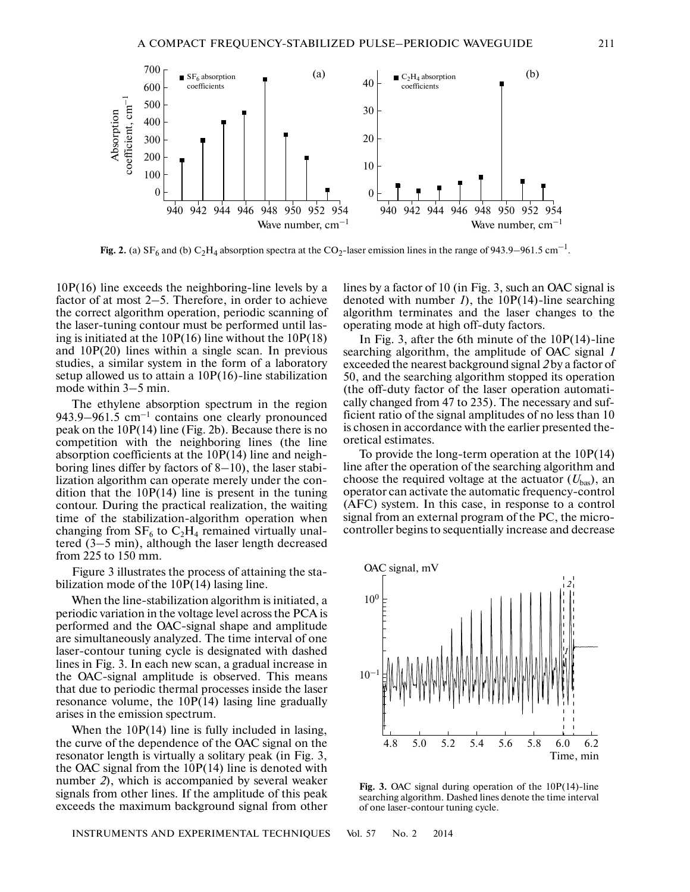

**Fig. 2.** (a)  $SF_6$  and (b)  $C_2H_4$  absorption spectra at the CO<sub>2</sub>-laser emission lines in the range of 943.9–961.5 cm<sup>-1</sup>.

10P(16) line exceeds the neighboring-line levels by a factor of at most 2–5. Therefore, in order to achieve the correct algorithm operation, periodic scanning of the laser-tuning contour must be performed until las ing is initiated at the 10P(16) line without the 10P(18) and 10P(20) lines within a single scan. In previous studies, a similar system in the form of a laboratory setup allowed us to attain a 10P(16)-line stabilization mode within 3–5 min.

The ethylene absorption spectrum in the region 943.9–961.5  $cm^{-1}$  contains one clearly pronounced peak on the 10P(14) line (Fig. 2b). Because there is no competition with the neighboring lines (the line absorption coefficients at the 10P(14) line and neigh boring lines differ by factors of 8–10), the laser stabi lization algorithm can operate merely under the con dition that the  $10P(14)$  line is present in the tuning contour. During the practical realization, the waiting time of the stabilization-algorithm operation when changing from  $SF_6$  to  $C_2H_4$  remained virtually unaltered (3–5 min), although the laser length decreased from 225 to 150 mm.

Figure 3 illustrates the process of attaining the sta bilization mode of the 10P(14) lasing line.

When the line-stabilization algorithm is initiated, a periodic variation in the voltage level across the PCA is performed and the OAC-signal shape and amplitude are simultaneously analyzed. The time interval of one laser-contour tuning cycle is designated with dashed lines in Fig. 3. In each new scan, a gradual increase in the OAC-signal amplitude is observed. This means that due to periodic thermal processes inside the laser resonance volume, the 10P(14) lasing line gradually arises in the emission spectrum.

When the 10P(14) line is fully included in lasing, the curve of the dependence of the OAC signal on the resonator length is virtually a solitary peak (in Fig. 3, the OAC signal from the  $10P(14)$  line is denoted with number *2*), which is accompanied by several weaker signals from other lines. If the amplitude of this peak exceeds the maximum background signal from other lines by a factor of 10 (in Fig. 3, such an OAC signal is denoted with number *1*), the 10P(14)-line searching algorithm terminates and the laser changes to the operating mode at high off-duty factors.

In Fig. 3, after the 6th minute of the 10P(14)-line searching algorithm, the amplitude of OAC signal *1* exceeded the nearest background signal *2* by a factor of 50, and the searching algorithm stopped its operation (the off-duty factor of the laser operation automati cally changed from 47 to 235). The necessary and suf ficient ratio of the signal amplitudes of no less than 10 is chosen in accordance with the earlier presented the oretical estimates.

To provide the long-term operation at the 10P(14) line after the operation of the searching algorithm and choose the required voltage at the actuator  $(U_{\text{bas}})$ , an operator can activate the automatic frequency-control (AFC) system. In this case, in response to a control signal from an external program of the PC, the micro controller begins to sequentially increase and decrease



**Fig. 3.** OAC signal during operation of the 10P(14)-line searching algorithm. Dashed lines denote the time interval of one laser-contour tuning cycle.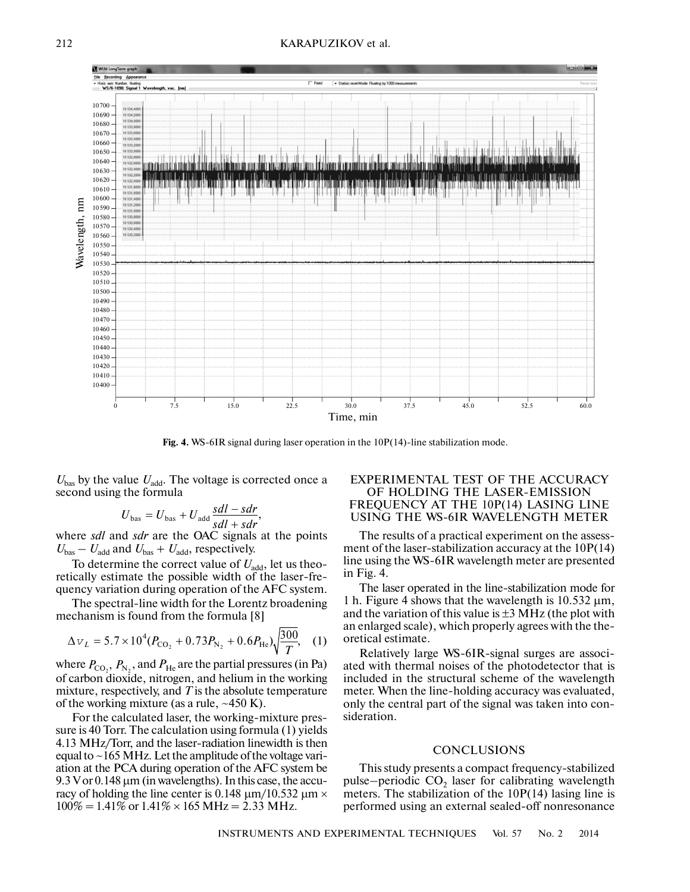

Fig. 4. WS-6IR signal during laser operation in the 10P(14)-line stabilization mode.

 $U_{\text{bas}}$  by the value  $U_{\text{add}}$ . The voltage is corrected once a second using the formula

$$
U_{\text{bas}} = U_{\text{bas}} + U_{\text{add}} \frac{sdl - sdr}{sdl + sdr},
$$

where *sdl* and *sdr* are the OAC signals at the points  $U_{\text{bas}} - U_{\text{add}}$  and  $U_{\text{bas}} + U_{\text{add}}$ , respectively.

To determine the correct value of  $U_{\text{add}}$ , let us theoretically estimate the possible width of the laser-fre quency variation during operation of the AFC system.

The spectral-line width for the Lorentz broadening mechanism is found from the formula [8]

$$
\Delta v_L = 5.7 \times 10^4 (P_{\text{CO}_2} + 0.73 P_{\text{N}_2} + 0.6 P_{\text{He}}) \sqrt{\frac{300}{T}}, \quad (1)
$$

where  $P_{\text{CO}_2}$ ,  $P_{\text{N}_2}$ , and  $P_{\text{He}}$  are the partial pressures (in Pa) of carbon dioxide, nitrogen, and helium in the working mixture, respectively, and *Т* is the absolute temperature of the working mixture (as a rule,  $\sim$ 450 K).

For the calculated laser, the working-mixture pres sure is 40 Torr. The calculation using formula (1) yields 4.13 MHz/Torr, and the laser-radiation linewidth is then equal to ~165 MHz. Let the amplitude of the voltage vari ation at the PCA during operation of the AFC system be 9.3 V or 0.148 μm (in wavelengths). In this case, the accu racy of holding the line center is 0.148  $\mu$ m/10.532  $\mu$ m  $\times$  $100\% = 1.41\%$  or  $1.41\% \times 165$  MHz = 2.33 MHz.

## EXPERIMENTAL TEST OF THE ACCURACY OF HOLDING THE LASER-EMISSION FREQUENCY AT THE 10P(14) LASING LINE USING THE WS-6IR WAVELENGTH METER

The results of a practical experiment on the assess ment of the laser-stabilization accuracy at the 10P(14) line using the WS-6IR wavelength meter are presented in Fig. 4.

The laser operated in the line-stabilization mode for 1 h. Figure 4 shows that the wavelength is  $10.532 \mu m$ , and the variation of this value is  $\pm 3$  MHz (the plot with an enlarged scale), which properly agrees with the the oretical estimate.

Relatively large WS-6IR-signal surges are associ ated with thermal noises of the photodetector that is included in the structural scheme of the wavelength meter. When the line-holding accuracy was evaluated, only the central part of the signal was taken into con sideration.

#### **CONCLUSIONS**

This study presents a compact frequency-stabilized pulse–periodic  $CO<sub>2</sub>$  laser for calibrating wavelength meters. The stabilization of the  $10P(14)$  lasing line is performed using an external sealed-off nonresonance